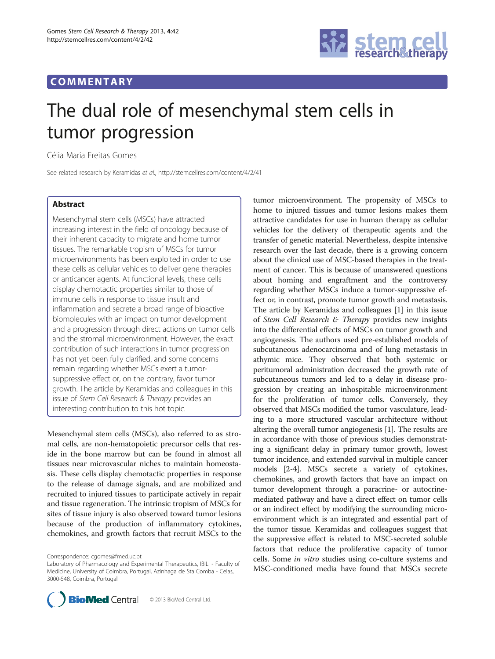# COMMENTARY



# The dual role of mesenchymal stem cells in tumor progression

Célia Maria Freitas Gomes

See related research by Keramidas et al., http://stemcellres.com/content/4/2/41

# Abstract

Mesenchymal stem cells (MSCs) have attracted increasing interest in the field of oncology because of their inherent capacity to migrate and home tumor tissues. The remarkable tropism of MSCs for tumor microenvironments has been exploited in order to use these cells as cellular vehicles to deliver gene therapies or anticancer agents. At functional levels, these cells display chemotactic properties similar to those of immune cells in response to tissue insult and inflammation and secrete a broad range of bioactive biomolecules with an impact on tumor development and a progression through direct actions on tumor cells and the stromal microenvironment. However, the exact contribution of such interactions in tumor progression has not yet been fully clarified, and some concerns remain regarding whether MSCs exert a tumorsuppressive effect or, on the contrary, favor tumor growth. The article by Keramidas and colleagues in this issue of Stem Cell Research & Therapy provides an interesting contribution to this hot topic.

Mesenchymal stem cells (MSCs), also referred to as stromal cells, are non-hematopoietic precursor cells that reside in the bone marrow but can be found in almost all tissues near microvascular niches to maintain homeostasis. These cells display chemotactic properties in response to the release of damage signals, and are mobilized and recruited to injured tissues to participate actively in repair and tissue regeneration. The intrinsic tropism of MSCs for sites of tissue injury is also observed toward tumor lesions because of the production of inflammatory cytokines, chemokines, and growth factors that recruit MSCs to the

Laboratory of Pharmacology and Experimental Therapeutics, IBILI - Faculty of Medicine, University of Coimbra, Portugal, Azinhaga de Sta Comba - Celas, 3000-548, Coimbra, Portugal



tumor microenvironment. The propensity of MSCs to home to injured tissues and tumor lesions makes them attractive candidates for use in human therapy as cellular vehicles for the delivery of therapeutic agents and the transfer of genetic material. Nevertheless, despite intensive research over the last decade, there is a growing concern about the clinical use of MSC-based therapies in the treatment of cancer. This is because of unanswered questions about homing and engraftment and the controversy regarding whether MSCs induce a tumor-suppressive effect or, in contrast, promote tumor growth and metastasis. The article by Keramidas and colleagues [[1\]](#page-1-0) in this issue of Stem Cell Research & Therapy provides new insights into the differential effects of MSCs on tumor growth and angiogenesis. The authors used pre-established models of subcutaneous adenocarcinoma and of lung metastasis in athymic mice. They observed that both systemic or peritumoral administration decreased the growth rate of subcutaneous tumors and led to a delay in disease progression by creating an inhospitable microenvironment for the proliferation of tumor cells. Conversely, they observed that MSCs modified the tumor vasculature, leading to a more structured vascular architecture without altering the overall tumor angiogenesis [\[1\]](#page-1-0). The results are in accordance with those of previous studies demonstrating a significant delay in primary tumor growth, lowest tumor incidence, and extended survival in multiple cancer models [\[2](#page-1-0)-[4](#page-1-0)]. MSCs secrete a variety of cytokines, chemokines, and growth factors that have an impact on tumor development through a paracrine- or autocrinemediated pathway and have a direct effect on tumor cells or an indirect effect by modifying the surrounding microenvironment which is an integrated and essential part of the tumor tissue. Keramidas and colleagues suggest that the suppressive effect is related to MSC-secreted soluble factors that reduce the proliferative capacity of tumor cells. Some in vitro studies using co-culture systems and MSC-conditioned media have found that MSCs secrete

Correspondence: [cgomes@fmed.uc.pt](mailto:cgomes@fmed.uc.pt)